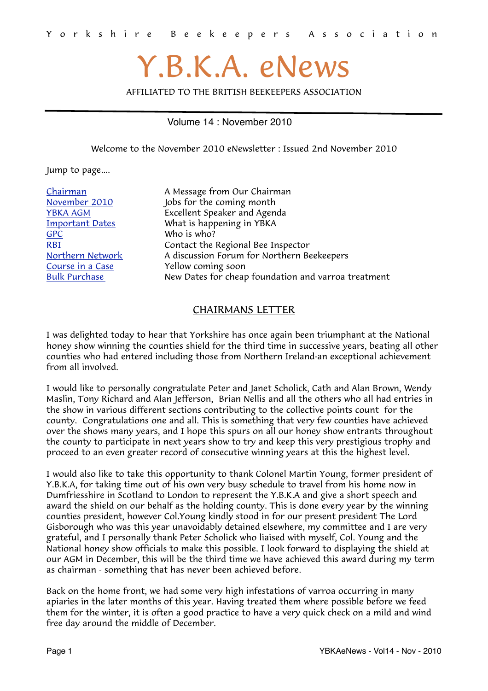# Y.B.K.A. eNews

AFFILIATED TO THE BRITISH BEEKEEPERS ASSOCIATION

#### Volume 14 : November 2010

<span id="page-0-1"></span>Welcome to the November 2010 eNewsletter : Issued 2nd November 2010

Jump to page....

[GPC](#page-6-0) Who is who?

Ehairman A Message from Our Chairman<br>
November 2010 Jobs for the coming month Jobs for the coming month [YBKA AGM](#page-4-0) Excellent Speaker and Agenda **Important Dates** What is happening in YBKA [RBI](#page-1-0) Contact the Regional Bee Inspector [Northern Network](#page-2-0) A discussion Forum for Northern Beekeepers [Course in a Case](#page-5-1) The Yellow coming soon [Bulk Purchase](#page-3-0) New Dates for cheap foundation and varroa treatment

#### <span id="page-0-0"></span>CHAIRMANS LETTER

I was delighted today to hear that Yorkshire has once again been triumphant at the National honey show winning the counties shield for the third time in successive years, beating all other counties who had entered including those from Northern Ireland-an exceptional achievement from all involved.

I would like to personally congratulate Peter and Janet Scholick, Cath and Alan Brown, Wendy Maslin, Tony Richard and Alan Jefferson, Brian Nellis and all the others who all had entries in the show in various different sections contributing to the collective points count for the county. Congratulations one and all. This is something that very few counties have achieved over the shows many years, and I hope this spurs on all our honey show entrants throughout the county to participate in next years show to try and keep this very prestigious trophy and proceed to an even greater record of consecutive winning years at this the highest level.

I would also like to take this opportunity to thank Colonel Martin Young, former president of Y.B.K.A, for taking time out of his own very busy schedule to travel from his home now in Dumfriesshire in Scotland to London to represent the Y.B.K.A and give a short speech and award the shield on our behalf as the holding county. This is done every year by the winning counties president, however Col.Young kindly stood in for our present president The Lord Gisborough who was this year unavoidably detained elsewhere, my committee and I are very grateful, and I personally thank Peter Scholick who liaised with myself, Col. Young and the National honey show officials to make this possible. I look forward to displaying the shield at our AGM in December, this will be the third time we have achieved this award during my term as chairman - something that has never been achieved before.

Back on the home front, we had some very high infestations of varroa occurring in many apiaries in the later months of this year. Having treated them where possible before we feed them for the winter, it is often a good practice to have a very quick check on a mild and wind free day around the middle of December.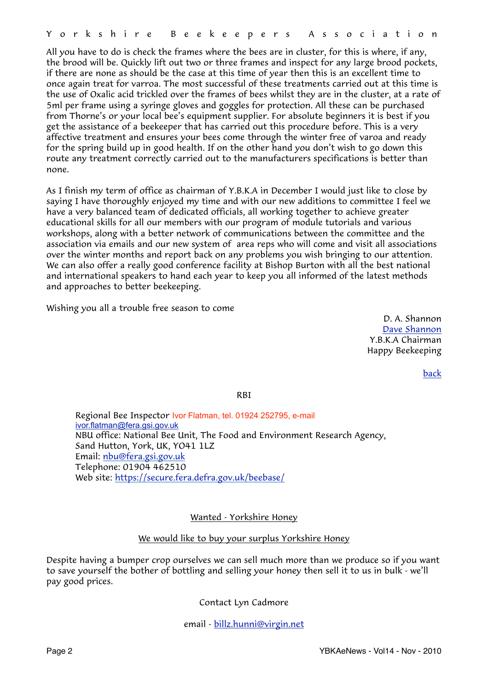All you have to do is check the frames where the bees are in cluster, for this is where, if any, the brood will be. Quickly lift out two or three frames and inspect for any large brood pockets, if there are none as should be the case at this time of year then this is an excellent time to once again treat for varroa. The most successful of these treatments carried out at this time is the use of Oxalic acid trickled over the frames of bees whilst they are in the cluster, at a rate of 5ml per frame using a syringe gloves and goggles for protection. All these can be purchased from Thorne's or your local bee's equipment supplier. For absolute beginners it is best if you get the assistance of a beekeeper that has carried out this procedure before. This is a very affective treatment and ensures your bees come through the winter free of varoa and ready for the spring build up in good health. If on the other hand you don't wish to go down this route any treatment correctly carried out to the manufacturers specifications is better than none.

As I finish my term of office as chairman of Y.B.K.A in December I would just like to close by saying I have thoroughly enjoyed my time and with our new additions to committee I feel we have a very balanced team of dedicated officials, all working together to achieve greater educational skills for all our members with our program of module tutorials and various workshops, along with a better network of communications between the committee and the association via emails and our new system of area reps who will come and visit all associations over the winter months and report back on any problems you wish bringing to our attention. We can also offer a really good conference facility at Bishop Burton with all the best national and international speakers to hand each year to keep you all informed of the latest methods and approaches to better beekeeping.

Wishing you all a trouble free season to come

D. A. Shannon [Dave Shannon](mailto:dave_aca@tiscali.co.uk?subject=YBKA%20Chairman) Y.B.K.A Chairman Happy Beekeeping

[back](#page-0-1)

<span id="page-1-0"></span>RBI

Regional Bee Inspector Ivor Flatman, tel. 01924 252795, e-mail [ivor.flatman@fera.gsi.gov.uk](mailto:ivor.flatman@fera.gsi.gov.uk) NBU office: National Bee Unit, The Food and Environment Research Agency, Sand Hutton, York, UK, YO41 1LZ Email: [nbu@fera.gsi.gov.uk](mailto:nbu@fera.gsi.gov.uk) Telephone: 01904 462510 Web site:<https://secure.fera.defra.gov.uk/beebase/>

#### Wanted - Yorkshire Honey

#### We would like to buy your surplus Yorkshire Honey

Despite having a bumper crop ourselves we can sell much more than we produce so if you want to save yourself the bother of bottling and selling your honey then sell it to us in bulk - we'll pay good prices.

Contact Lyn Cadmore

email - [billz.hunni@virgin.net](mailto:billz.hunni@virgin.net?subject=Yorkshire%20Honey%20Purchased)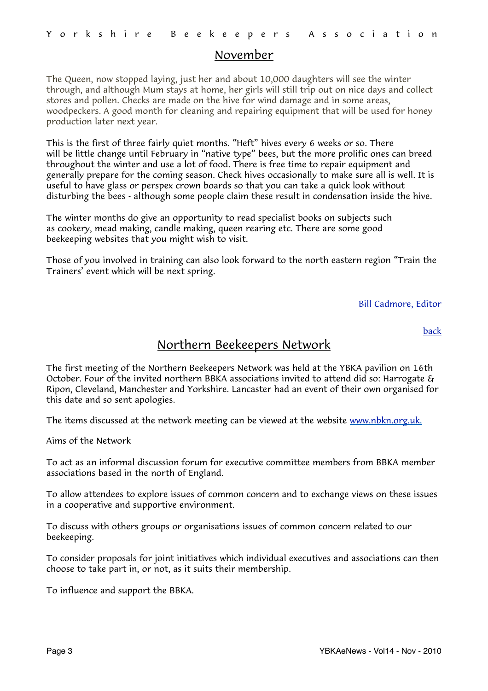#### November

The Queen, now stopped laying, just her and about 10,000 daughters will see the winter through, and although Mum stays at home, her girls will still trip out on nice days and collect stores and pollen. Checks are made on the hive for wind damage and in some areas, woodpeckers. A good month for cleaning and repairing equipment that will be used for honey production later next year.

This is the first of three fairly quiet months. "Heft" hives every 6 weeks or so. There will be little change until February in "native type" bees, but the more prolific ones can breed throughout the winter and use a lot of food. There is free time to repair equipment and generally prepare for the coming season. Check hives occasionally to make sure all is well. It is useful to have glass or perspex crown boards so that you can take a quick look without disturbing the bees - although some people claim these result in condensation inside the hive.

The winter months do give an opportunity to read specialist books on subjects such as cookery, mead making, candle making, queen rearing etc. There are some good beekeeping websites that you might wish to visit.

Those of you involved in training can also look forward to the north eastern region "Train the Trainers' event which will be next spring.

[Bill Cadmore, Editor](mailto:ybkanews@ntlworld.com?subject=eNewsletter)

[back](#page-0-1)

### <span id="page-2-0"></span>Northern Beekeepers Network

The first meeting of the Northern Beekeepers Network was held at the YBKA pavilion on 16th October. Four of the invited northern BBKA associations invited to attend did so: Harrogate & Ripon, Cleveland, Manchester and Yorkshire. Lancaster had an event of their own organised for this date and so sent apologies.

The items discussed at the network meeting can be viewed at the website [www.nbkn.org.uk.](http://www.nbkn.org.uk)

Aims of the Network

To act as an informal discussion forum for executive committee members from BBKA member associations based in the north of England.

To allow attendees to explore issues of common concern and to exchange views on these issues in a cooperative and supportive environment.

To discuss with others groups or organisations issues of common concern related to our beekeeping.

To consider proposals for joint initiatives which individual executives and associations can then choose to take part in, or not, as it suits their membership.

To influence and support the BBKA.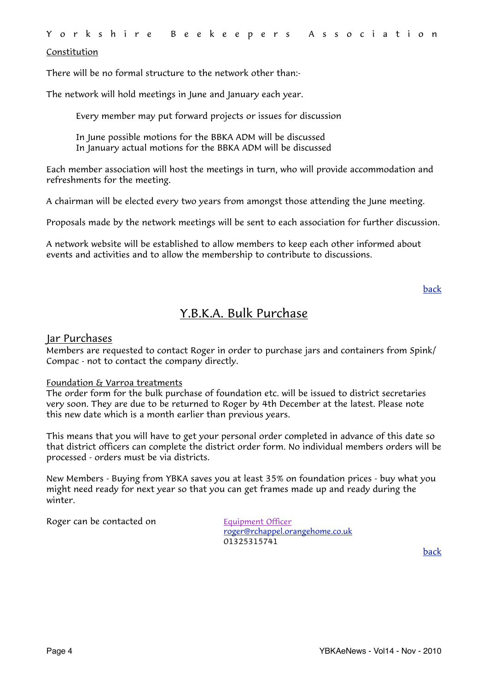#### Constitution

There will be no formal structure to the network other than:-

The network will hold meetings in June and January each year.

Every member may put forward projects or issues for discussion

 In June possible motions for the BBKA ADM will be discussed In January actual motions for the BBKA ADM will be discussed

Each member association will host the meetings in turn, who will provide accommodation and refreshments for the meeting.

A chairman will be elected every two years from amongst those attending the June meeting.

Proposals made by the network meetings will be sent to each association for further discussion.

A network website will be established to allow members to keep each other informed about events and activities and to allow the membership to contribute to discussions.

[back](#page-0-1)

### <span id="page-3-0"></span>Y.B.K.A. Bulk Purchase

#### Jar Purchases

Members are requested to contact Roger in order to purchase jars and containers from Spink/ Compac - not to contact the company directly.

#### Foundation & Varroa treatments

The order form for the bulk purchase of foundation etc. will be issued to district secretaries very soon. They are due to be returned to Roger by 4th December at the latest. Please note this new date which is a month earlier than previous years.

This means that you will have to get your personal order completed in advance of this date so that district officers can complete the district order form. No individual members orders will be processed - orders must be via districts.

New Members - Buying from YBKA saves you at least 35% on foundation prices - buy what you might need ready for next year so that you can get frames made up and ready during the winter.

Roger can be contacted on Equipment Officer

 [roger@rchappel.orangehome.co.uk](mailto:roger@rchappel.orangehome.co.uk) 01325315741

[back](#page-0-1)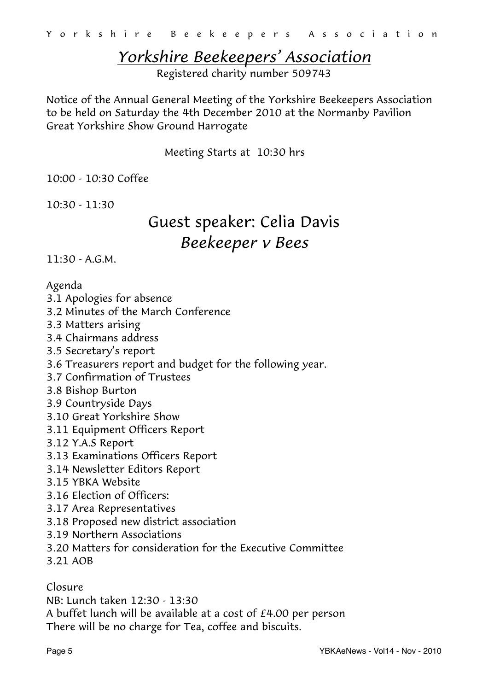# <span id="page-4-0"></span>*Yorkshire Beekeepers' Association*

Registered charity number 509743

Notice of the Annual General Meeting of the Yorkshire Beekeepers Association to be held on Saturday the 4th December 2010 at the Normanby Pavilion Great Yorkshire Show Ground Harrogate

Meeting Starts at 10:30 hrs

10:00 - 10:30 Coffee

10:30 - 11:30

# Guest speaker: Celia Davis *Beekeeper v Bees*

11:30 - A.G.M.

### Agenda

- 3.1 Apologies for absence
- 3.2 Minutes of the March Conference
- 3.3 Matters arising
- 3.4 Chairmans address
- 3.5 Secretary's report
- 3.6 Treasurers report and budget for the following year.
- 3.7 Confirmation of Trustees
- 3.8 Bishop Burton
- 3.9 Countryside Days
- 3.10 Great Yorkshire Show
- 3.11 Equipment Officers Report
- 3.12 Y.A.S Report
- 3.13 Examinations Officers Report
- 3.14 Newsletter Editors Report
- 3.15 YBKA Website
- 3.16 Election of Officers:
- 3.17 Area Representatives
- 3.18 Proposed new district association
- 3.19 Northern Associations
- 3.20 Matters for consideration for the Executive Committee
- 3.21 AOB

Closure

NB: Lunch taken 12:30 - 13:30 A buffet lunch will be available at a cost of £4.00 per person

There will be no charge for Tea, coffee and biscuits.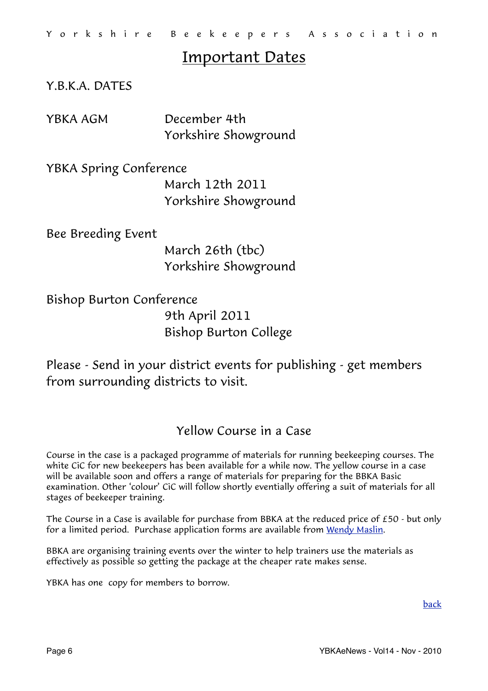# <span id="page-5-0"></span>Important Dates

Y.B.K.A. DATES

YBKA AGM December 4th Yorkshire Showground

YBKA Spring Conference March 12th 2011 Yorkshire Showground

Bee Breeding Event

 March 26th (tbc) Yorkshire Showground

Bishop Burton Conference 9th April 2011

Please - Send in your district events for publishing - get members from surrounding districts to visit.

Bishop Burton College

## <span id="page-5-1"></span>Yellow Course in a Case

Course in the case is a packaged programme of materials for running beekeeping courses. The white CiC for new beekeepers has been available for a while now. The yellow course in a case will be available soon and offers a range of materials for preparing for the BBKA Basic examination. Other 'colour' CiC will follow shortly eventially offering a suit of materials for all stages of beekeeper training.

The Course in a Case is available for purchase from BBKA at the reduced price of £50 - but only for a limited period. Purchase application forms are available from [Wendy Maslin](mailto:wendy@maslin.karoo.co.uk?subject=Course%20in%20a%20Case).

BBKA are organising training events over the winter to help trainers use the materials as effectively as possible so getting the package at the cheaper rate makes sense.

YBKA has one copy for members to borrow.

[back](#page-0-1)